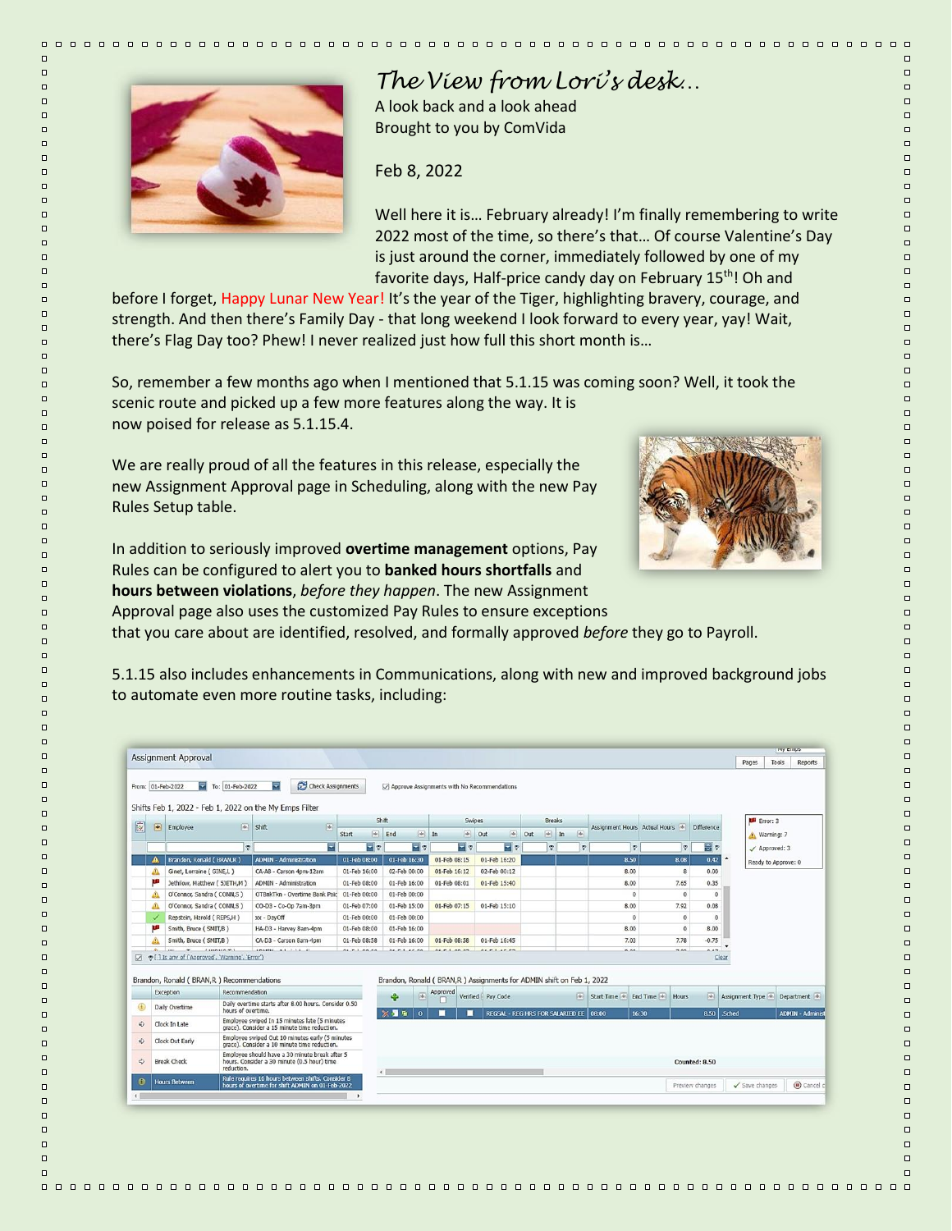

 $\Box$ 

 $\Box$ 

 $\Box$ 

 $\Box$ 

 $\Box$ 

 $\Box$ 

 $\Box$ 

 $\Box$ 

 $\Box$ 

 $\Box$ 

 $\Box$ 

 $\Box$ 

 $\Box$ 

 $\Box$ 

 $\Box$ 

 $\Box$ 

 $\Box$ 

 $\Box$ 

 $\Box$ 

 $\Box$ 

 $\Box$ 

 $\Box$ 

 $\Box$ 

 $\Box$ 

 $\Box$ 

 $\Box$ 

 $\Box$ 

 $\Box$ 

 $\Box$ 

 $\Box$ 

 $\Box$ 

 $\Box$ 

 $\Box$ 

 $\Box$ 

 $\Box$  $\Box$ 

 $\Box$ 

 $\Box$ 

 $\Box$ 

 $\Box$ 

 $\Box$ 

 $\Box$ 

 $\Box$ 

 $\Box$ 

 $\Box$ 

 $\Box$ 

 $\Box$ 

 $\Box$ 

 $\Box$ 

 $\Box$ 

 $\Box$ 

 $\Box$ 

 $\Box$ 

 $\Box$ 

 $\Box$ 

 $\Box$ 

 $\Box$ 

 $\Box$ 

 $\Box$ 

 $\Box$ 

 $\Box$ 

 $\Box$ 

 $\Box$ 

 $\Box$ 

 $\Box$ 

 $\Box$ 

 $\Box$ 

 $\Box$ 

 $\Box$ 

 $\Box$ 

 $\Box$ 

 $\Box$ 

 $\Box$ 

 $\Box$ 

 $\Box$ 

 $\Box$ 

 $\Box$ 

 $\Box$ 

## *The View from Lori's desk…*

A look back and a look ahead Brought to you by ComVida

Feb 8, 2022

Well here it is… February already! I'm finally remembering to write 2022 most of the time, so there's that… Of course Valentine's Day is just around the corner, immediately followed by one of my favorite days, Half-price candy day on February 15<sup>th</sup>! Oh and

before I forget, Happy Lunar New Year! It's the year of the Tiger, highlighting bravery, courage, and strength. And then there's Family Day - that long weekend I look forward to every year, yay! Wait, there's Flag Day too? Phew! I never realized just how full this short month is…

So, remember a few months ago when I mentioned that 5.1.15 was coming soon? Well, it took the scenic route and picked up a few more features along the way. It is now poised for release as 5.1.15.4.

We are really proud of all the features in this release, especially the new Assignment Approval page in Scheduling, along with the new Pay Rules Setup table.



 $\Box$ 

 $\Box$ 

 $\Box$ 

 $\Box$ 

 $\Box$ 

 $\Box$ 

 $\Box$ 

 $\Box$ 

 $\Box$ 

 $\Box$ 

 $\Box$ 

 $\Box$ 

 $\Box$ 

 $\Box$ 

 $\Box$ 

 $\Box$ 

 $\Box$ 

 $\Box$ 

 $\Box$ 

 $\Box$ 

 $\Box$ 

 $\Box$ 

 $\Box$ 

 $\Box$ 

 $\Box$ 

 $\Box$ 

 $\Box$ 

 $\Box$ 

 $\Box$ 

 $\Box$ 

 $\Box$ 

 $\Box$ 

 $\Box$ 

 $\Box$  $\Box$ 

 $\Box$ 

 $\Box$ 

 $\Box$ 

 $\Box$ 

 $\Box$ 

 $\Box$ 

 $\Box$ 

 $\Box$ 

 $\Box$ 

 $\Box$ 

 $\Box$ 

 $\Box$ 

 $\Box$ 

 $\Box$ 

 $\Box$ 

 $\Box$ 

 $\Box$ 

 $\Box$ 

 $\Box$ 

 $\Box$ 

 $\Box$ 

 $\Box$ 

 $\Box$ 

 $\Box$ 

 $\Box$ 

 $\Box$ 

 $\Box$ 

 $\Box$ 

 $\Box$ 

 $\Box$ 

 $\Box$ 

 $\Box$ 

 $\Box$ 

 $\Box$ 

 $\Box$ 

 $\Box$ 

 $\Box$ 

 $\Box$ 

 $\Box$ 

 $\Box$ 

 $\Box$ 

 $\Box$ 

 $\Box$ 

In addition to seriously improved **overtime management** options, Pay Rules can be configured to alert you to **banked hours shortfalls** and **hours between violations**, *before they happen*. The new Assignment

Approval page also uses the customized Pay Rules to ensure exceptions

that you care about are identified, resolved, and formally approved *before* they go to Payroll.

5.1.15 also includes enhancements in Communications, along with new and improved background jobs to automate even more routine tasks, including:

|                                                 |                                                    | To: 01-Feb-2022<br>From: 01-Feb-2022                                            |                               | Check Assignments<br>로<br>Shifts Feb 1, 2022 - Feb 1, 2022 on the My Emps Filter                |                                  | Approve Assignments with No Recommendations |                                     |                                      |                   |                                          |     |                                                                        |                  |                 |                          |                               |                 |                   |                     |                      |                         |
|-------------------------------------------------|----------------------------------------------------|---------------------------------------------------------------------------------|-------------------------------|-------------------------------------------------------------------------------------------------|----------------------------------|---------------------------------------------|-------------------------------------|--------------------------------------|-------------------|------------------------------------------|-----|------------------------------------------------------------------------|------------------|-----------------|--------------------------|-------------------------------|-----------------|-------------------|---------------------|----------------------|-------------------------|
|                                                 |                                                    |                                                                                 |                               |                                                                                                 |                                  | Shift                                       |                                     | <b>Swipes</b>                        |                   |                                          |     | <b>Breaks</b>                                                          |                  |                 |                          |                               |                 |                   | Error: 3            |                      |                         |
| 國                                               | $\begin{array}{ c } \hline \textbf{w} \end{array}$ | Employee                                                                        | $  \Psi  $ Shift              | (46)                                                                                            | 网<br>Start                       | End                                         | $\vert \overline{\psi} \vert$<br>In | $\sqrt{2}$                           | [4]<br>Out        |                                          | Out |                                                                        | $\frac{1}{2}$ In | $\sqrt{46}$     |                          | Assignment Hours Actual Hours |                 | <b>Difference</b> | Warning: 7          |                      |                         |
|                                                 |                                                    |                                                                                 | $\heartsuit$                  | ⋥                                                                                               | $\overline{\phantom{a}}$ $\circ$ |                                             | $-2$                                | $\overline{\mathbf{v}}$ $\mathbf{v}$ |                   | 니오                                       |     | $\bullet$                                                              |                  | $\triangledown$ |                          | $\circ$                       | $\triangledown$ | 위호                |                     | $\angle$ Approved: 3 |                         |
|                                                 | Brandon, Ronald (BRAN,R)                           |                                                                                 | <b>ADMIN - Administration</b> | 01-Feb 08:00                                                                                    | 01-Feb 16:30                     |                                             | 01-Feb 08:15                        | 01-Feb 16:20                         |                   |                                          |     |                                                                        |                  | 8.50            | 8.08                     |                               | 0.42            |                   | Ready to Approve: 0 |                      |                         |
|                                                 | Δ                                                  | Ginet, Lorraine (GINE,L)                                                        |                               | CA-A8 - Carson 4pm-12am                                                                         | 01-Feb 16:00                     | 02-Feb 00:00                                |                                     | 01-Feb 16:12                         |                   | 02-Feb 00:12                             |     |                                                                        |                  |                 | 8.00                     |                               | 8               | 0.00              |                     |                      |                         |
|                                                 | щ                                                  | Jethilow, Matthew ( SJETH,M )                                                   |                               | <b>ADMIN - Administration</b>                                                                   | 01-Feb 08:00                     | 01-Feb 16:00                                |                                     | 01-Feb 08:01                         |                   | 01-Feb 15:40                             |     |                                                                        |                  |                 | 8.00                     | 7.65                          |                 | 0.35              |                     |                      |                         |
|                                                 | Δ                                                  | O'Connor, Sandra (CONN,S)                                                       |                               | OTBnkTkn - Overtime Bank Paic 01-Feb 00:00                                                      |                                  | 01-Feb 00:00                                |                                     |                                      |                   |                                          |     |                                                                        |                  |                 |                          | $\mathbf{0}$                  | $\mathbf{0}$    | $\theta$          |                     |                      |                         |
|                                                 | Δ                                                  | O'Connor, Sandra (CONN,S)                                                       |                               | CO-D3 - Co-Op 7am-3pm                                                                           | 01-Feb 07:00                     | 01-Feb 15:00                                |                                     | 01-Feb 07:15                         | 01-Feb 15:10      |                                          |     |                                                                        |                  |                 | 8.00                     | 7.92                          |                 | 0.08              |                     |                      |                         |
|                                                 | ✓                                                  | Repstein, Harold (REPS,H)                                                       |                               | xx - DayOff                                                                                     | 01-Feb 00:00                     | 01-Feb 00:00                                |                                     |                                      |                   |                                          |     |                                                                        |                  |                 |                          | $\mathbf{0}$                  | $\theta$        | $\theta$          |                     |                      |                         |
|                                                 | T I                                                | Smith, Bruce (SMIT, B)                                                          |                               | HA-D3 - Harvey 8am-4pm                                                                          | 01-Feb 08:00                     | 01-Feb 16:00                                |                                     |                                      |                   |                                          |     |                                                                        |                  |                 | 8.00                     |                               | $^{\circ}$      | 8.00              |                     |                      |                         |
|                                                 | Δ                                                  | Smith, Bruce (SMIT,B)                                                           |                               | CA-D3 - Carson 8am-4pm                                                                          | 01-Feb 08:58                     | 01-Feb 16:00                                |                                     | 01-Feb 08:58                         | 01-Feb 16:45      |                                          |     |                                                                        |                  |                 | 7.03                     | 7.78                          |                 | $-0.75$           |                     |                      |                         |
| $\triangledown$                                 |                                                    | o [ ] Is any of ('Approved', 'Warning', 'Error')                                |                               |                                                                                                 |                                  |                                             |                                     |                                      |                   |                                          |     |                                                                        |                  |                 |                          |                               |                 | Clear             |                     |                      |                         |
|                                                 |                                                    | Brandon, Ronald (BRAN, R) Recommendations<br>Recommendation<br><b>Exception</b> |                               |                                                                                                 |                                  |                                             |                                     | Approved                             |                   |                                          |     | Brandon, Ronald ( BRAN, R ) Assignments for ADMIN shift on Feb 1, 2022 |                  |                 |                          |                               |                 |                   |                     |                      |                         |
|                                                 |                                                    | Daily Overtime<br>hours of overtime.                                            |                               | Daily overtime starts after 8.00 hours. Consider 0.50                                           |                                  | ÷                                           | $ \Psi\rangle$                      |                                      | Verified Pay Code |                                          |     |                                                                        |                  |                 | $\frac{1}{2}$ Start Time | End Time<br>Hours             |                 | $ \Psi $          | Assignment Type     |                      | Department              |
|                                                 |                                                    | Clock In Late                                                                   |                               |                                                                                                 |                                  | ※ 星星                                        | $\Omega$                            |                                      |                   | REGSAL - REG HRS FOR SALARIED EE   08:00 |     |                                                                        |                  |                 |                          | 16:30                         |                 | 8.50 Sched        |                     |                      | <b>ADMIN - Administ</b> |
|                                                 |                                                    |                                                                                 |                               | Employee swiped In 15 minutes late (5 minutes<br>grace). Consider a 15 minute time reduction.   |                                  |                                             |                                     |                                      |                   |                                          |     |                                                                        |                  |                 |                          |                               |                 |                   |                     |                      |                         |
| $\circled{f}$<br>$\Rightarrow$<br>$\Rightarrow$ |                                                    | Clock Out Early                                                                 |                               | Employee swiped Out 10 minutes early (5 minutes<br>grace). Consider a 10 minute time reduction. |                                  |                                             |                                     |                                      |                   |                                          |     |                                                                        |                  |                 |                          |                               |                 |                   |                     |                      |                         |
| $\Rightarrow$                                   |                                                    | <b>Break Check</b>                                                              | reduction.                    | Employee should have a 30 minute break after 5<br>hours. Consider a 30 minute (0.5 hour) time   |                                  | $\left  \cdot \right $                      |                                     |                                      |                   |                                          |     |                                                                        |                  |                 |                          |                               |                 | Counted: 8.50     |                     |                      |                         |